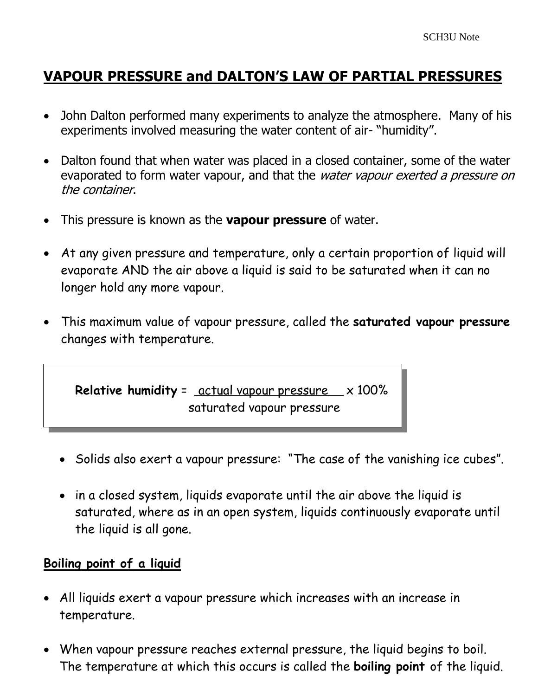# **VAPOUR PRESSURE and DALTON'S LAW OF PARTIAL PRESSURES**

- John Dalton performed many experiments to analyze the atmosphere. Many of his experiments involved measuring the water content of air- "humidity".
- Dalton found that when water was placed in a closed container, some of the water evaporated to form water vapour, and that the water vapour exerted a pressure on the container.
- This pressure is known as the **vapour pressure** of water.
- At any given pressure and temperature, only a certain proportion of liquid will evaporate AND the air above a liquid is said to be saturated when it can no longer hold any more vapour.
- This maximum value of vapour pressure, called the **saturated vapour pressure** changes with temperature.



- Solids also exert a vapour pressure: "The case of the vanishing ice cubes".
- in a closed system, liquids evaporate until the air above the liquid is saturated, where as in an open system, liquids continuously evaporate until the liquid is all gone.

#### **Boiling point of a liquid**

- All liquids exert a vapour pressure which increases with an increase in temperature.
- When vapour pressure reaches external pressure, the liquid begins to boil. The temperature at which this occurs is called the **boiling point** of the liquid.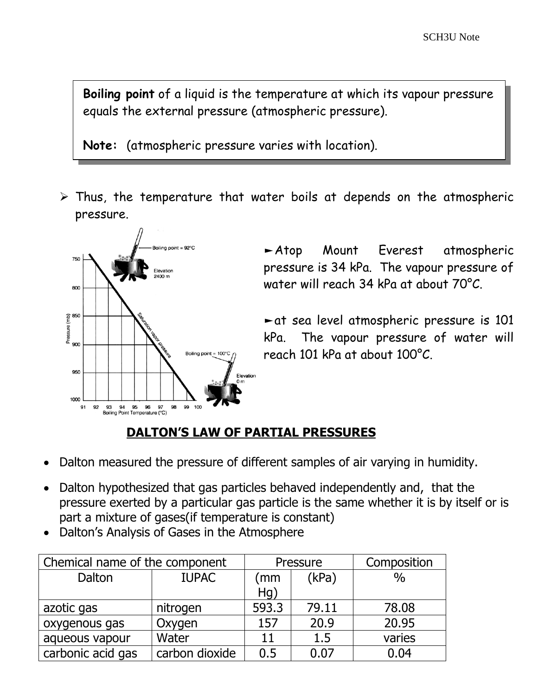**Boiling point** of a liquid is the temperature at which its vapour pressure equals the external pressure (atmospheric pressure).

**Note:** (atmospheric pressure varies with location).

 $\triangleright$  Thus, the temperature that water boils at depends on the atmospheric pressure.



►Atop Mount Everest atmospheric pressure is 34 kPa. The vapour pressure of water will reach 34 kPa at about 70°C.

►at sea level atmospheric pressure is 101 kPa. The vapour pressure of water will reach 101 kPa at about 100°C.

## **DALTON'S LAW OF PARTIAL PRESSURES**

- Dalton measured the pressure of different samples of air varying in humidity.
- Dalton hypothesized that gas particles behaved independently and, that the pressure exerted by a particular gas particle is the same whether it is by itself or is part a mixture of gases(if temperature is constant)
- Dalton's Analysis of Gases in the Atmosphere

| Chemical name of the component |                | Pressure |       | Composition   |
|--------------------------------|----------------|----------|-------|---------------|
| Dalton                         | <b>IUPAC</b>   | (mm      | (kPa) | $\frac{0}{0}$ |
|                                |                | Hg)      |       |               |
| azotic gas                     | nitrogen       | 593.3    | 79.11 | 78.08         |
| oxygenous gas                  | Oxygen         | 157      | 20.9  | 20.95         |
| aqueous vapour                 | Water          | 11       | 1.5   | varies        |
| carbonic acid gas              | carbon dioxide | 0.5      | 0.07  | 0.04          |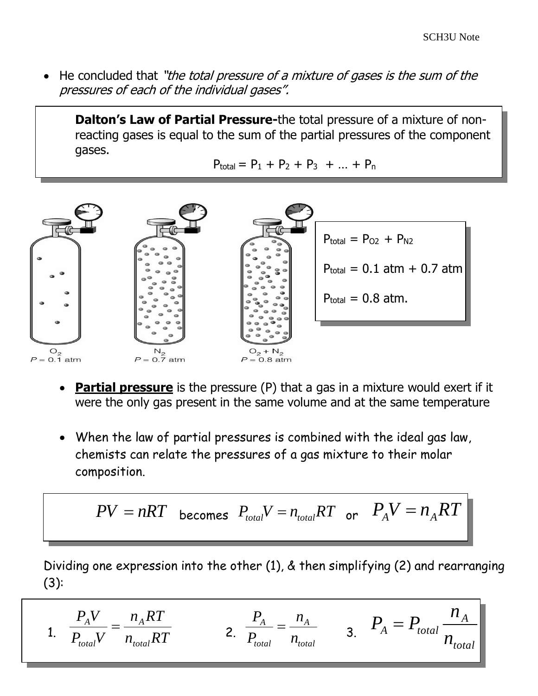He concluded that "the total pressure of a mixture of gases is the sum of the pressures of each of the individual gases".

**Dalton's Law of Partial Pressure-**the total pressure of a mixture of nonreacting gases is equal to the sum of the partial pressures of the component gases.

 $P_{\text{total}} = P_1 + P_2 + P_3 + ... + P_n$ 



- **Partial pressure** is the pressure (P) that a gas in a mixture would exert if it were the only gas present in the same volume and at the same temperature
- When the law of partial pressures is combined with the ideal gas law, chemists can relate the pressures of a gas mixture to their molar composition.

$$
PV = nRT \quad \text{becomes} \quad P_{total}V = n_{total}RT \quad \text{or} \quad P_AV = n_ART
$$

Dividing one expression into the other (1), & then simplifying (2) and rearranging (3):

1. 
$$
\frac{P_A V}{P_{total} V} = \frac{n_A RT}{n_{total} RT}
$$
 2. 
$$
\frac{P_A}{P_{total}} = \frac{n_A}{n_{total}}
$$
 3. 
$$
P_A = P_{total} \frac{n_A}{n_{total}}
$$